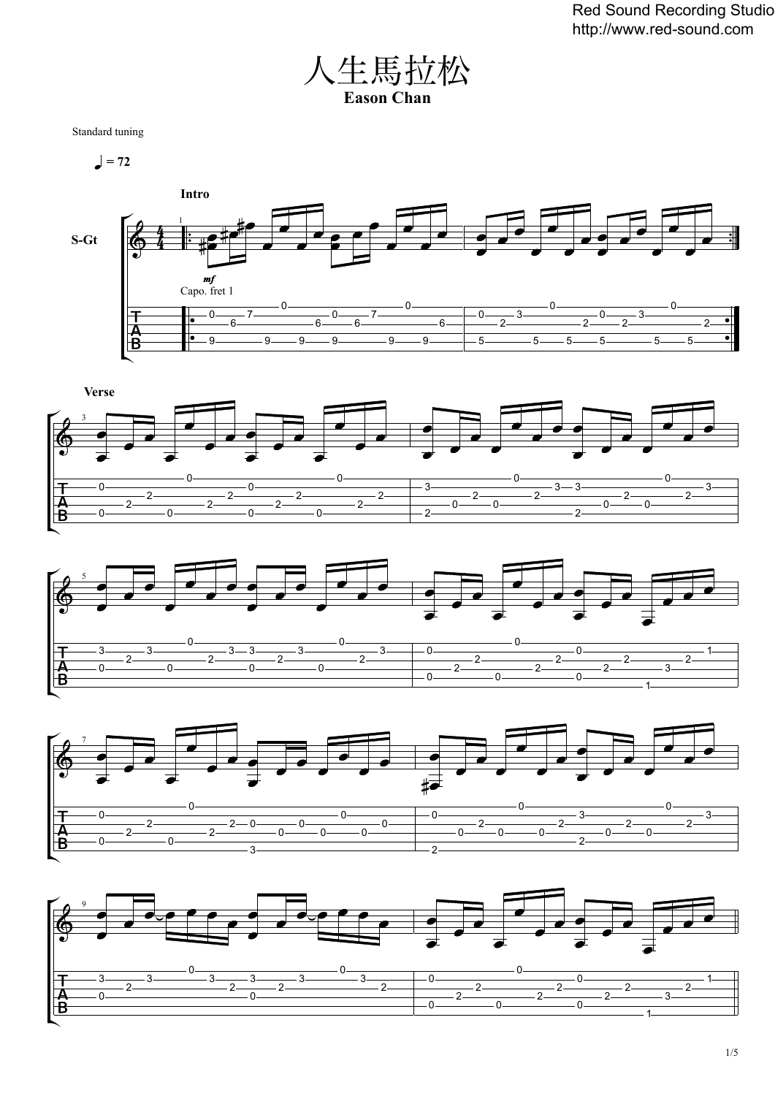

Standard tuning

 $= 72$ 









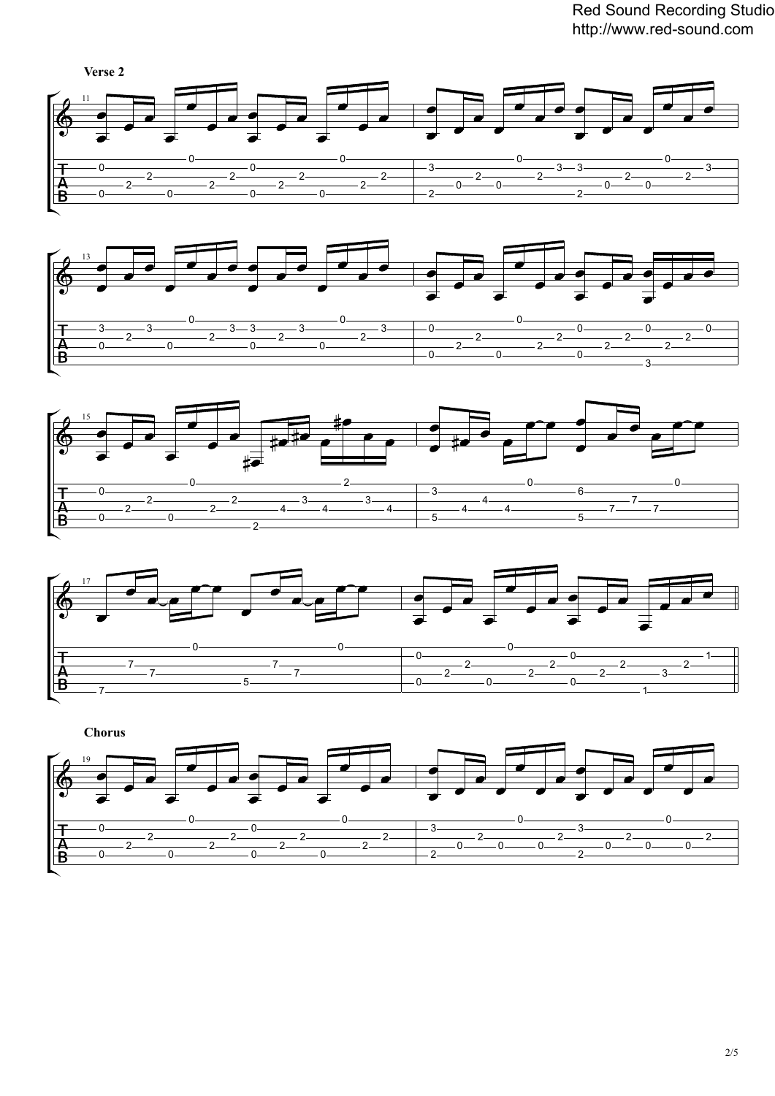Red Sound Recording Studio http://www.red-sound.com











 **Chorus**  $\frac{2}{2}$   $\frac{2}{2}$   $\frac{2}{2}$   $\begin{array}{c|c}\n\hline\n-2 & 3 \\
\hline\n2 & 2\n\end{array}$  $\frac{2}{2}$  0  $\frac{2}{1}$  0  $\frac{2}{0}$  $\frac{2}{2}$  0  $\frac{2}{2}$  0  $\frac{2}{0}$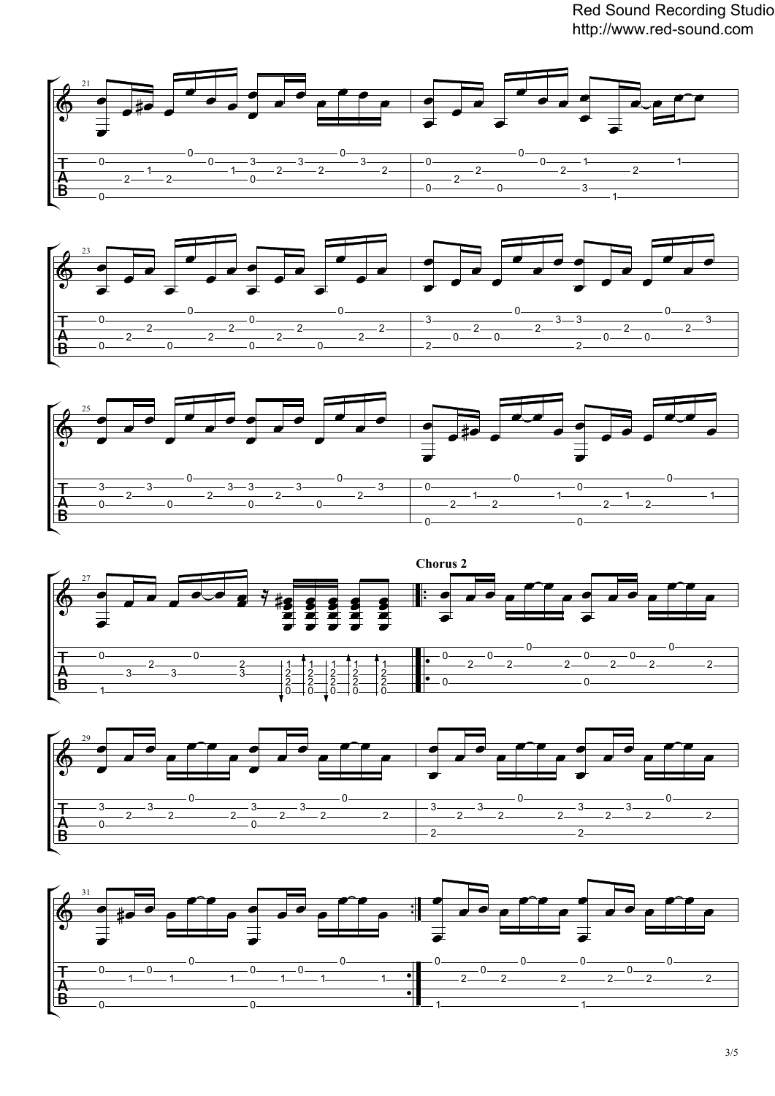Red Sound Recording Studio http://www.red-sound.com











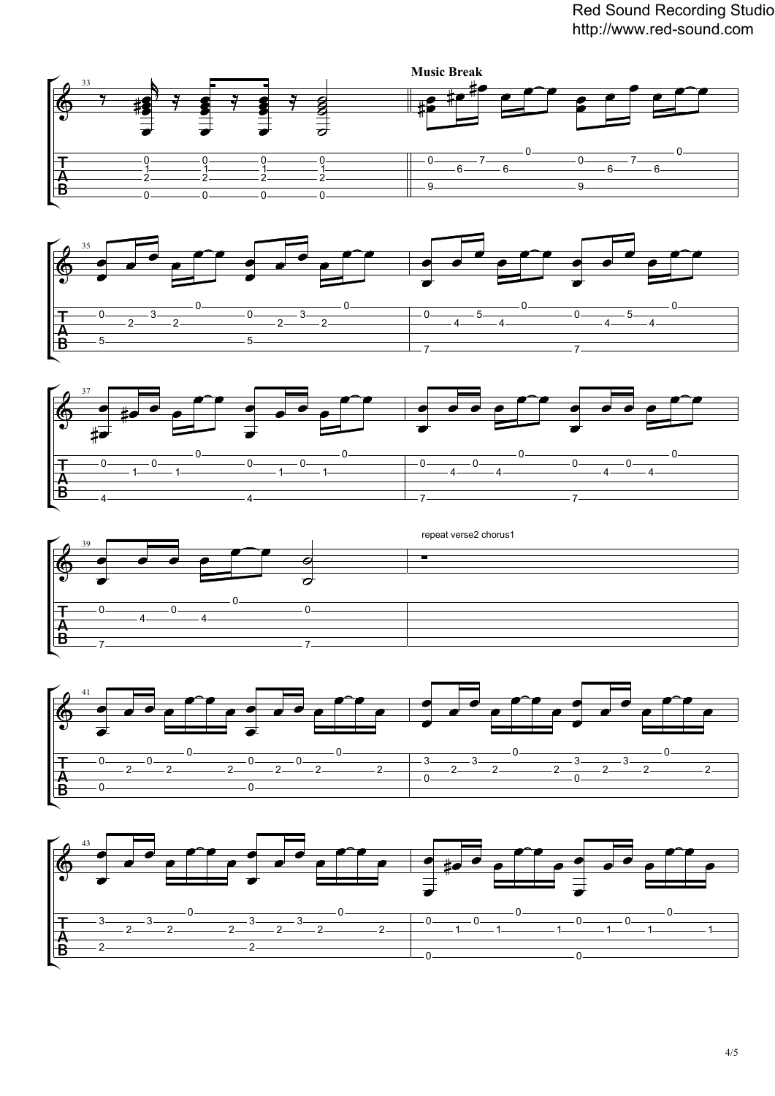



![](_page_3_Figure_3.jpeg)

![](_page_3_Figure_4.jpeg)

![](_page_3_Figure_5.jpeg)

![](_page_3_Figure_6.jpeg)